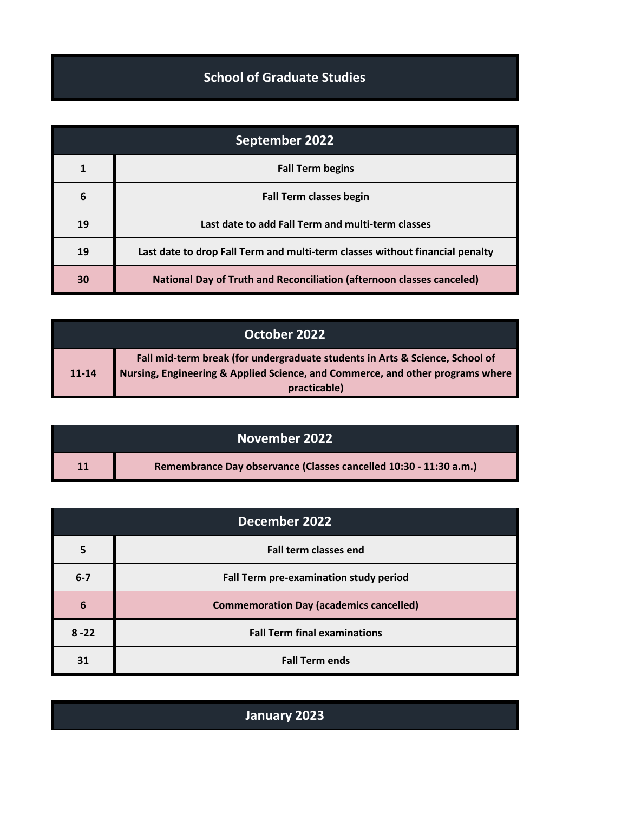## **School of Graduate Studies**

| September 2022 |                                                                              |
|----------------|------------------------------------------------------------------------------|
| 1              | <b>Fall Term begins</b>                                                      |
| 6              | <b>Fall Term classes begin</b>                                               |
| 19             | Last date to add Fall Term and multi-term classes                            |
| 19             | Last date to drop Fall Term and multi-term classes without financial penalty |
| 30             | <b>National Day of Truth and Reconciliation (afternoon classes canceled)</b> |

| October 2022 |                                                                                                                                                                |
|--------------|----------------------------------------------------------------------------------------------------------------------------------------------------------------|
| $11 - 14$    | Fall mid-term break (for undergraduate students in Arts & Science, School of<br>Nursing, Engineering & Applied Science, and Commerce, and other programs where |
|              | practicable)                                                                                                                                                   |

|    | November 2022                                                     |  |
|----|-------------------------------------------------------------------|--|
| 11 | Remembrance Day observance (Classes cancelled 10:30 - 11:30 a.m.) |  |

| December 2022 |                                                |
|---------------|------------------------------------------------|
| 5             | <b>Fall term classes end</b>                   |
| $6 - 7$       | Fall Term pre-examination study period         |
| 6             | <b>Commemoration Day (academics cancelled)</b> |
| $8 - 22$      | <b>Fall Term final examinations</b>            |
| 31            | <b>Fall Term ends</b>                          |

| January 2023 |
|--------------|
|--------------|

I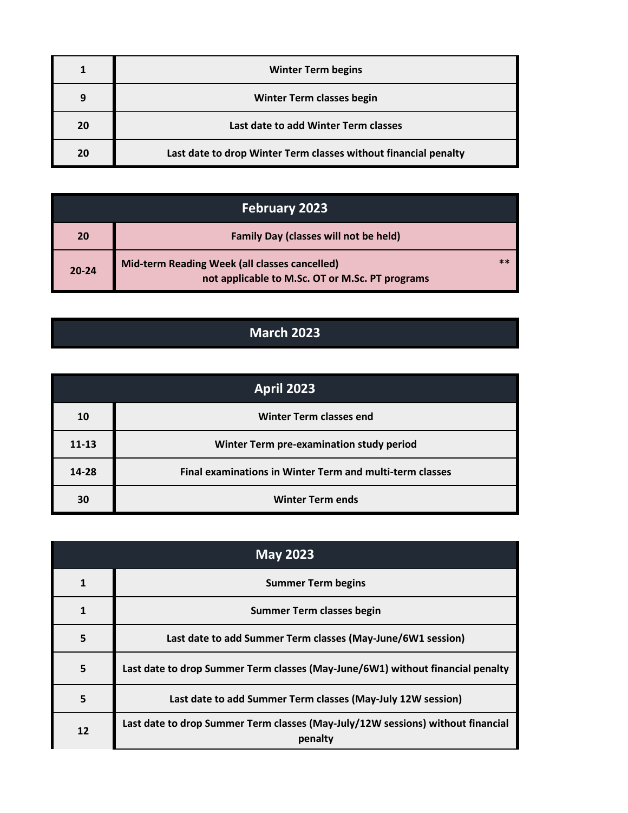|    | <b>Winter Term begins</b>                                       |
|----|-----------------------------------------------------------------|
|    | <b>Winter Term classes begin</b>                                |
| 20 | Last date to add Winter Term classes                            |
| 20 | Last date to drop Winter Term classes without financial penalty |

| <b>February 2023</b> |                                                                                                  |    |
|----------------------|--------------------------------------------------------------------------------------------------|----|
| 20                   | <b>Family Day (classes will not be held)</b>                                                     |    |
| $20 - 24$            | Mid-term Reading Week (all classes cancelled)<br>not applicable to M.Sc. OT or M.Sc. PT programs | 米斗 |

## **March 2023**

| <b>April 2023</b> |                                                          |
|-------------------|----------------------------------------------------------|
| 10                | <b>Winter Term classes end</b>                           |
| $11 - 13$         | Winter Term pre-examination study period                 |
| 14-28             | Final examinations in Winter Term and multi-term classes |
| 30                | <b>Winter Term ends</b>                                  |

| <b>May 2023</b> |                                                                                            |
|-----------------|--------------------------------------------------------------------------------------------|
|                 | <b>Summer Term begins</b>                                                                  |
|                 | <b>Summer Term classes begin</b>                                                           |
| 5               | Last date to add Summer Term classes (May-June/6W1 session)                                |
| 5               | Last date to drop Summer Term classes (May-June/6W1) without financial penalty             |
| 5               | Last date to add Summer Term classes (May-July 12W session)                                |
| 12              | Last date to drop Summer Term classes (May-July/12W sessions) without financial<br>penalty |